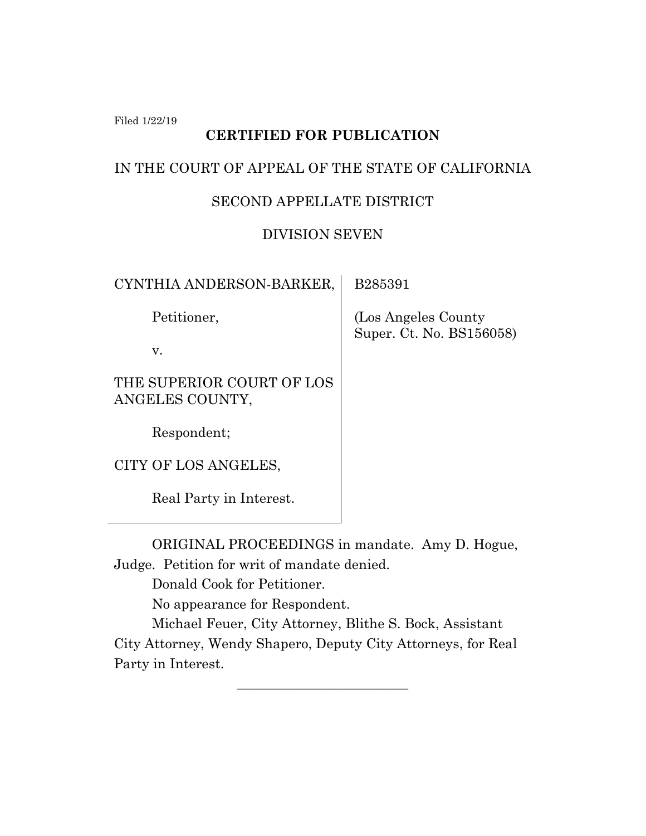Filed 1/22/19

# **CERTIFIED FOR PUBLICATION**

#### IN THE COURT OF APPEAL OF THE STATE OF CALIFORNIA

## SECOND APPELLATE DISTRICT

### DIVISION SEVEN

| CYNTHIA ANDERSON-BARKER,                     | B285391                                          |
|----------------------------------------------|--------------------------------------------------|
| Petitioner,                                  | (Los Angeles County)<br>Super. Ct. No. BS156058) |
| v.                                           |                                                  |
| THE SUPERIOR COURT OF LOS<br>ANGELES COUNTY, |                                                  |
| Respondent;                                  |                                                  |
| CITY OF LOS ANGELES,                         |                                                  |
| Real Party in Interest.                      |                                                  |

ORIGINAL PROCEEDINGS in mandate. Amy D. Hogue, Judge. Petition for writ of mandate denied.

Donald Cook for Petitioner.

No appearance for Respondent.

Michael Feuer, City Attorney, Blithe S. Bock, Assistant City Attorney, Wendy Shapero, Deputy City Attorneys, for Real Party in Interest.

\_\_\_\_\_\_\_\_\_\_\_\_\_\_\_\_\_\_\_\_\_\_\_\_\_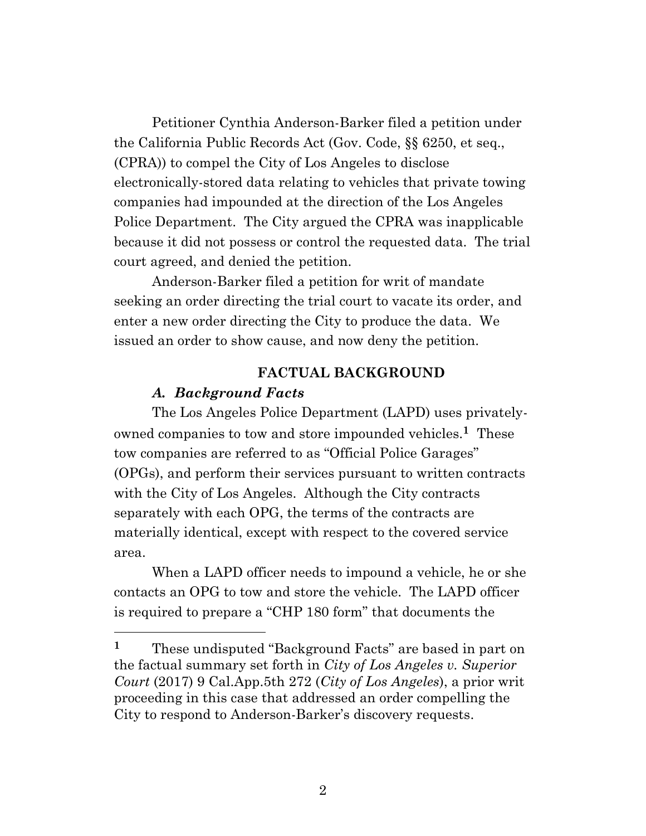Petitioner Cynthia Anderson-Barker filed a petition under the California Public Records Act (Gov. Code, §§ 6250, et seq., (CPRA)) to compel the City of Los Angeles to disclose electronically-stored data relating to vehicles that private towing companies had impounded at the direction of the Los Angeles Police Department. The City argued the CPRA was inapplicable because it did not possess or control the requested data. The trial court agreed, and denied the petition.

Anderson-Barker filed a petition for writ of mandate seeking an order directing the trial court to vacate its order, and enter a new order directing the City to produce the data. We issued an order to show cause, and now deny the petition.

#### **FACTUAL BACKGROUND**

#### *A. Background Facts*

The Los Angeles Police Department (LAPD) uses privatelyowned companies to tow and store impounded vehicles.**<sup>1</sup>** These tow companies are referred to as "Official Police Garages" (OPGs), and perform their services pursuant to written contracts with the City of Los Angeles. Although the City contracts separately with each OPG, the terms of the contracts are materially identical, except with respect to the covered service area.

When a LAPD officer needs to impound a vehicle, he or she contacts an OPG to tow and store the vehicle. The LAPD officer is required to prepare a "CHP 180 form" that documents the

**<sup>1</sup>** These undisputed "Background Facts" are based in part on the factual summary set forth in *City of Los Angeles v. Superior Court* (2017) 9 Cal.App.5th 272 (*City of Los Angeles*), a prior writ proceeding in this case that addressed an order compelling the City to respond to Anderson-Barker's discovery requests.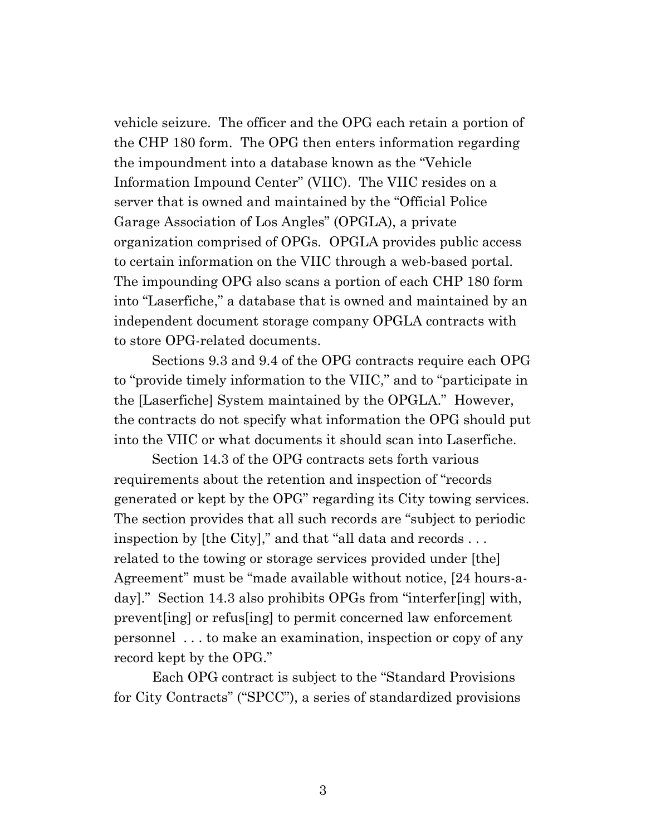vehicle seizure. The officer and the OPG each retain a portion of the CHP 180 form. The OPG then enters information regarding the impoundment into a database known as the "Vehicle Information Impound Center" (VIIC). The VIIC resides on a server that is owned and maintained by the "Official Police Garage Association of Los Angles" (OPGLA), a private organization comprised of OPGs. OPGLA provides public access to certain information on the VIIC through a web-based portal. The impounding OPG also scans a portion of each CHP 180 form into "Laserfiche," a database that is owned and maintained by an independent document storage company OPGLA contracts with to store OPG-related documents.

Sections 9.3 and 9.4 of the OPG contracts require each OPG to "provide timely information to the VIIC," and to "participate in the [Laserfiche] System maintained by the OPGLA." However, the contracts do not specify what information the OPG should put into the VIIC or what documents it should scan into Laserfiche.

Section 14.3 of the OPG contracts sets forth various requirements about the retention and inspection of "records generated or kept by the OPG" regarding its City towing services. The section provides that all such records are "subject to periodic inspection by [the City]," and that "all data and records . . . related to the towing or storage services provided under [the] Agreement" must be "made available without notice, [24 hours-aday]." Section 14.3 also prohibits OPGs from "interfer[ing] with, prevent[ing] or refus[ing] to permit concerned law enforcement personnel . . . to make an examination, inspection or copy of any record kept by the OPG."

Each OPG contract is subject to the "Standard Provisions for City Contracts" ("SPCC"), a series of standardized provisions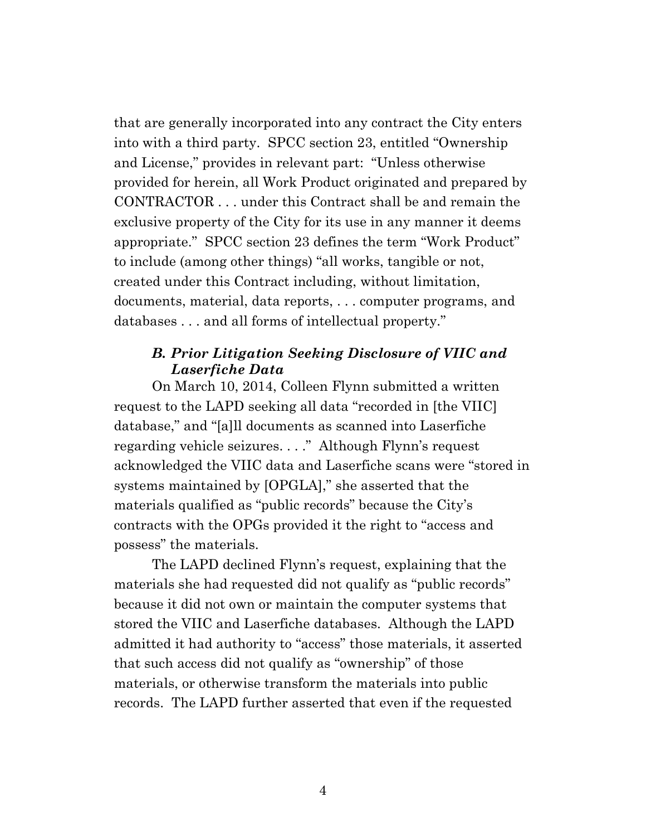that are generally incorporated into any contract the City enters into with a third party. SPCC section 23, entitled "Ownership and License," provides in relevant part: "Unless otherwise provided for herein, all Work Product originated and prepared by CONTRACTOR . . . under this Contract shall be and remain the exclusive property of the City for its use in any manner it deems appropriate." SPCC section 23 defines the term "Work Product" to include (among other things) "all works, tangible or not, created under this Contract including, without limitation, documents, material, data reports, . . . computer programs, and databases . . . and all forms of intellectual property."

## *B. Prior Litigation Seeking Disclosure of VIIC and Laserfiche Data*

On March 10, 2014, Colleen Flynn submitted a written request to the LAPD seeking all data "recorded in [the VIIC] database," and "[a]ll documents as scanned into Laserfiche regarding vehicle seizures. . . ." Although Flynn's request acknowledged the VIIC data and Laserfiche scans were "stored in systems maintained by [OPGLA]," she asserted that the materials qualified as "public records" because the City's contracts with the OPGs provided it the right to "access and possess" the materials.

The LAPD declined Flynn's request, explaining that the materials she had requested did not qualify as "public records" because it did not own or maintain the computer systems that stored the VIIC and Laserfiche databases. Although the LAPD admitted it had authority to "access" those materials, it asserted that such access did not qualify as "ownership" of those materials, or otherwise transform the materials into public records. The LAPD further asserted that even if the requested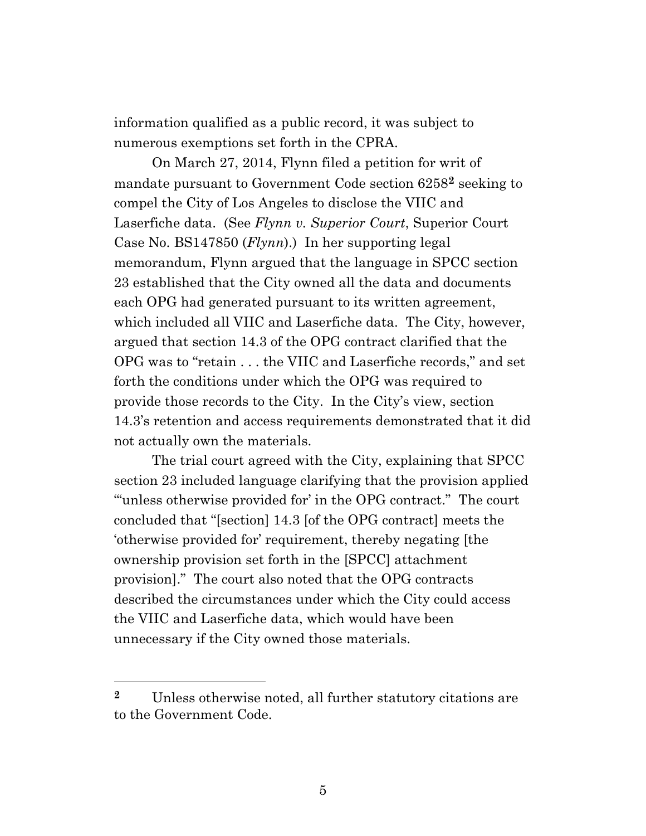information qualified as a public record, it was subject to numerous exemptions set forth in the CPRA.

On March 27, 2014, Flynn filed a petition for writ of mandate pursuant to Government Code section 6258**<sup>2</sup>** seeking to compel the City of Los Angeles to disclose the VIIC and Laserfiche data. (See *Flynn v. Superior Court*, Superior Court Case No. BS147850 (*Flynn*).) In her supporting legal memorandum, Flynn argued that the language in SPCC section 23 established that the City owned all the data and documents each OPG had generated pursuant to its written agreement, which included all VIIC and Laserfiche data. The City, however, argued that section 14.3 of the OPG contract clarified that the OPG was to "retain . . . the VIIC and Laserfiche records," and set forth the conditions under which the OPG was required to provide those records to the City. In the City's view, section 14.3's retention and access requirements demonstrated that it did not actually own the materials.

The trial court agreed with the City, explaining that SPCC section 23 included language clarifying that the provision applied "'unless otherwise provided for' in the OPG contract." The court concluded that "[section] 14.3 [of the OPG contract] meets the 'otherwise provided for' requirement, thereby negating [the ownership provision set forth in the [SPCC] attachment provision]." The court also noted that the OPG contracts described the circumstances under which the City could access the VIIC and Laserfiche data, which would have been unnecessary if the City owned those materials.

**<sup>2</sup>** Unless otherwise noted, all further statutory citations are to the Government Code.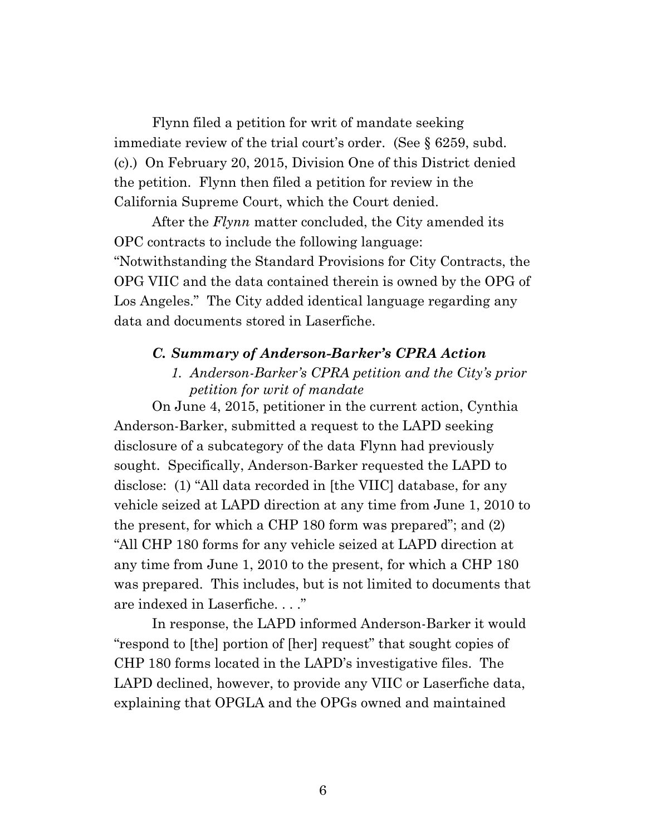Flynn filed a petition for writ of mandate seeking immediate review of the trial court's order.(See § 6259, subd. (c).) On February 20, 2015, Division One of this District denied the petition. Flynn then filed a petition for review in the California Supreme Court, which the Court denied.

After the *Flynn* matter concluded, the City amended its OPC contracts to include the following language: "Notwithstanding the Standard Provisions for City Contracts, the OPG VIIC and the data contained therein is owned by the OPG of Los Angeles." The City added identical language regarding any data and documents stored in Laserfiche.

#### *C. Summary of Anderson-Barker's CPRA Action*

### *1. Anderson-Barker's CPRA petition and the City's prior petition for writ of mandate*

On June 4, 2015, petitioner in the current action, Cynthia Anderson-Barker, submitted a request to the LAPD seeking disclosure of a subcategory of the data Flynn had previously sought. Specifically, Anderson-Barker requested the LAPD to disclose: (1) "All data recorded in [the VIIC] database, for any vehicle seized at LAPD direction at any time from June 1, 2010 to the present, for which a CHP 180 form was prepared"; and (2) "All CHP 180 forms for any vehicle seized at LAPD direction at any time from June 1, 2010 to the present, for which a CHP 180 was prepared. This includes, but is not limited to documents that are indexed in Laserfiche. . . ."

In response, the LAPD informed Anderson-Barker it would "respond to [the] portion of [her] request" that sought copies of CHP 180 forms located in the LAPD's investigative files. The LAPD declined, however, to provide any VIIC or Laserfiche data, explaining that OPGLA and the OPGs owned and maintained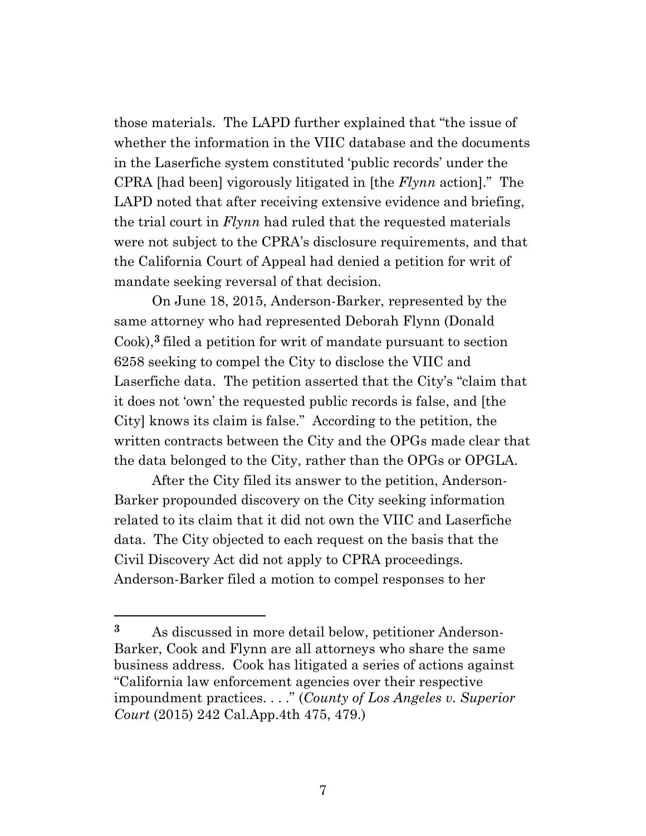those materials. The LAPD further explained that "the issue of whether the information in the VIIC database and the documents in the Laserfiche system constituted 'public records' under the CPRA [had been] vigorously litigated in [the *Flynn* action]." The LAPD noted that after receiving extensive evidence and briefing, the trial court in *Flynn* had ruled that the requested materials were not subject to the CPRA's disclosure requirements, and that the California Court of Appeal had denied a petition for writ of mandate seeking reversal of that decision.

On June 18, 2015, Anderson-Barker, represented by the same attorney who had represented Deborah Flynn (Donald Cook),**<sup>3</sup>** filed a petition for writ of mandate pursuant to section 6258 seeking to compel the City to disclose the VIIC and Laserfiche data. The petition asserted that the City's "claim that it does not 'own' the requested public records is false, and [the City] knows its claim is false." According to the petition, the written contracts between the City and the OPGs made clear that the data belonged to the City, rather than the OPGs or OPGLA.

After the City filed its answer to the petition, Anderson-Barker propounded discovery on the City seeking information related to its claim that it did not own the VIIC and Laserfiche data. The City objected to each request on the basis that the Civil Discovery Act did not apply to CPRA proceedings. Anderson-Barker filed a motion to compel responses to her

**<sup>3</sup>** As discussed in more detail below, petitioner Anderson-Barker, Cook and Flynn are all attorneys who share the same business address. Cook has litigated a series of actions against "California law enforcement agencies over their respective impoundment practices. . . ." (*County of Los Angeles v. Superior Court* (2015) 242 Cal.App.4th 475, 479.)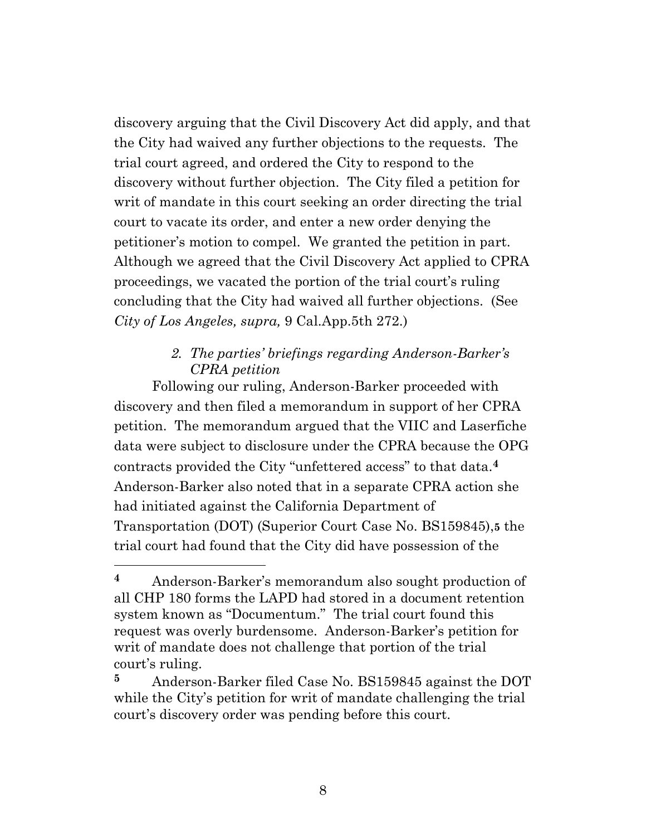discovery arguing that the Civil Discovery Act did apply, and that the City had waived any further objections to the requests. The trial court agreed, and ordered the City to respond to the discovery without further objection. The City filed a petition for writ of mandate in this court seeking an order directing the trial court to vacate its order, and enter a new order denying the petitioner's motion to compel. We granted the petition in part. Although we agreed that the Civil Discovery Act applied to CPRA proceedings, we vacated the portion of the trial court's ruling concluding that the City had waived all further objections. (See *City of Los Angeles, supra,* 9 Cal.App.5th 272.)

## *2. The parties' briefings regarding Anderson-Barker's CPRA petition*

Following our ruling, Anderson-Barker proceeded with discovery and then filed a memorandum in support of her CPRA petition. The memorandum argued that the VIIC and Laserfiche data were subject to disclosure under the CPRA because the OPG contracts provided the City "unfettered access" to that data.**<sup>4</sup>** Anderson-Barker also noted that in a separate CPRA action she had initiated against the California Department of Transportation (DOT) (Superior Court Case No. BS159845),**5** the trial court had found that the City did have possession of the

**<sup>4</sup>** Anderson-Barker's memorandum also sought production of all CHP 180 forms the LAPD had stored in a document retention system known as "Documentum." The trial court found this request was overly burdensome. Anderson-Barker's petition for writ of mandate does not challenge that portion of the trial court's ruling.

**<sup>5</sup>** Anderson-Barker filed Case No. BS159845 against the DOT while the City's petition for writ of mandate challenging the trial court's discovery order was pending before this court.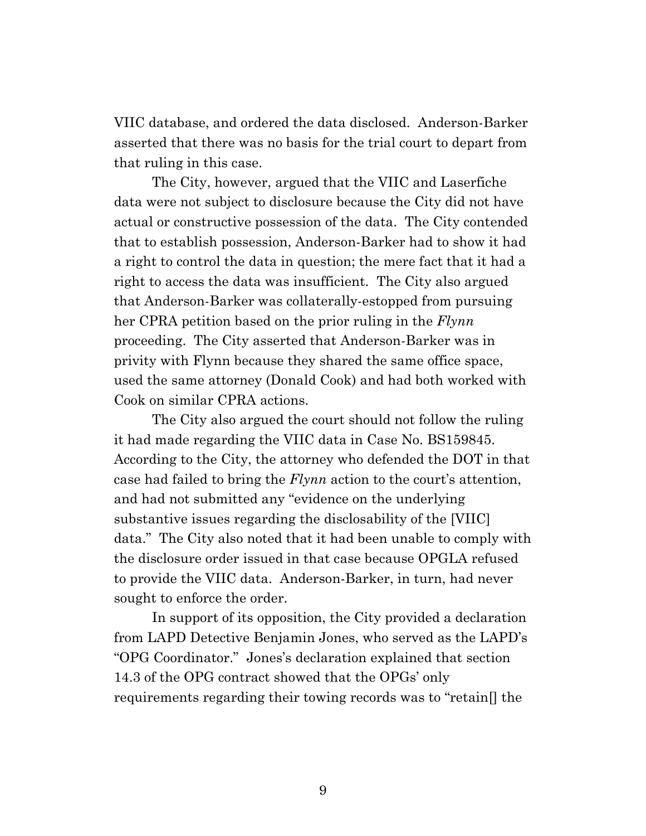VIIC database, and ordered the data disclosed. Anderson-Barker asserted that there was no basis for the trial court to depart from that ruling in this case.

The City, however, argued that the VIIC and Laserfiche data were not subject to disclosure because the City did not have actual or constructive possession of the data. The City contended that to establish possession, Anderson-Barker had to show it had a right to control the data in question; the mere fact that it had a right to access the data was insufficient. The City also argued that Anderson-Barker was collaterally-estopped from pursuing her CPRA petition based on the prior ruling in the *Flynn* proceeding. The City asserted that Anderson-Barker was in privity with Flynn because they shared the same office space, used the same attorney (Donald Cook) and had both worked with Cook on similar CPRA actions.

The City also argued the court should not follow the ruling it had made regarding the VIIC data in Case No. BS159845. According to the City, the attorney who defended the DOT in that case had failed to bring the *Flynn* action to the court's attention, and had not submitted any "evidence on the underlying substantive issues regarding the disclosability of the [VIIC] data." The City also noted that it had been unable to comply with the disclosure order issued in that case because OPGLA refused to provide the VIIC data. Anderson-Barker, in turn, had never sought to enforce the order.

In support of its opposition, the City provided a declaration from LAPD Detective Benjamin Jones, who served as the LAPD's "OPG Coordinator." Jones's declaration explained that section 14.3 of the OPG contract showed that the OPGs' only requirements regarding their towing records was to "retain[] the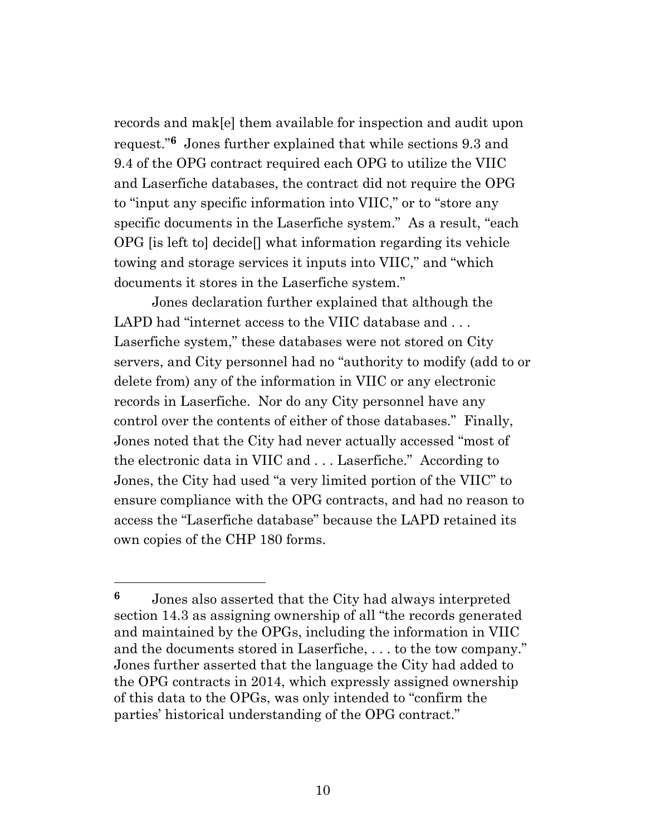records and mak[e] them available for inspection and audit upon request."**6** Jones further explained that while sections 9.3 and 9.4 of the OPG contract required each OPG to utilize the VIIC and Laserfiche databases, the contract did not require the OPG to "input any specific information into VIIC," or to "store any specific documents in the Laserfiche system." As a result, "each OPG [is left to] decide[] what information regarding its vehicle towing and storage services it inputs into VIIC," and "which documents it stores in the Laserfiche system."

Jones declaration further explained that although the LAPD had "internet access to the VIIC database and . . . Laserfiche system," these databases were not stored on City servers, and City personnel had no "authority to modify (add to or delete from) any of the information in VIIC or any electronic records in Laserfiche. Nor do any City personnel have any control over the contents of either of those databases." Finally, Jones noted that the City had never actually accessed "most of the electronic data in VIIC and . . . Laserfiche." According to Jones, the City had used "a very limited portion of the VIIC" to ensure compliance with the OPG contracts, and had no reason to access the "Laserfiche database" because the LAPD retained its own copies of the CHP 180 forms.

**<sup>6</sup>** Jones also asserted that the City had always interpreted section 14.3 as assigning ownership of all "the records generated and maintained by the OPGs, including the information in VIIC and the documents stored in Laserfiche, . . . to the tow company." Jones further asserted that the language the City had added to the OPG contracts in 2014, which expressly assigned ownership of this data to the OPGs, was only intended to "confirm the parties' historical understanding of the OPG contract."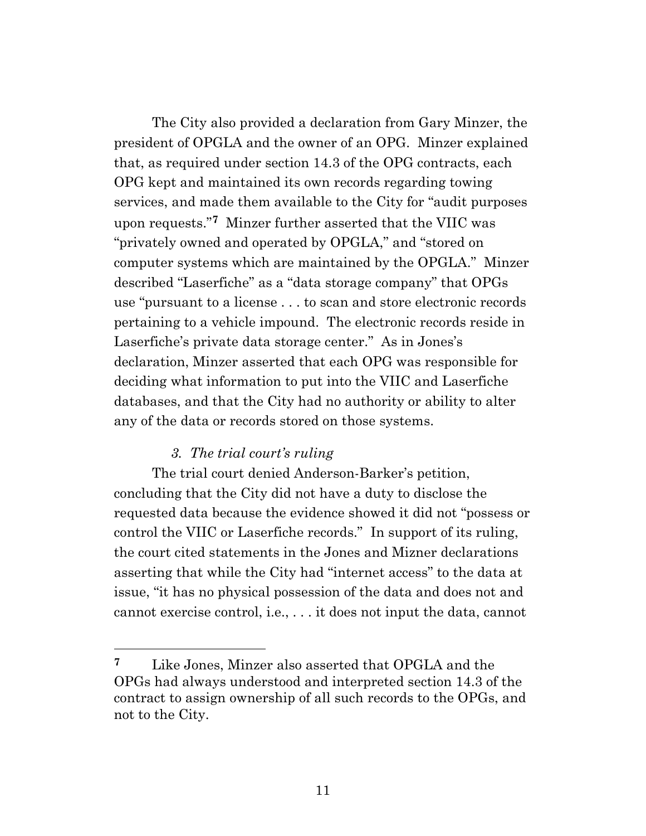The City also provided a declaration from Gary Minzer, the president of OPGLA and the owner of an OPG. Minzer explained that, as required under section 14.3 of the OPG contracts, each OPG kept and maintained its own records regarding towing services, and made them available to the City for "audit purposes upon requests."**7** Minzer further asserted that the VIIC was "privately owned and operated by OPGLA," and "stored on computer systems which are maintained by the OPGLA." Minzer described "Laserfiche" as a "data storage company" that OPGs use "pursuant to a license . . . to scan and store electronic records pertaining to a vehicle impound. The electronic records reside in Laserfiche's private data storage center." As in Jones's declaration, Minzer asserted that each OPG was responsible for deciding what information to put into the VIIC and Laserfiche databases, and that the City had no authority or ability to alter any of the data or records stored on those systems.

#### *3. The trial court's ruling*

The trial court denied Anderson-Barker's petition, concluding that the City did not have a duty to disclose the requested data because the evidence showed it did not "possess or control the VIIC or Laserfiche records." In support of its ruling, the court cited statements in the Jones and Mizner declarations asserting that while the City had "internet access" to the data at issue, "it has no physical possession of the data and does not and cannot exercise control, i.e., . . . it does not input the data, cannot

**<sup>7</sup>** Like Jones, Minzer also asserted that OPGLA and the OPGs had always understood and interpreted section 14.3 of the contract to assign ownership of all such records to the OPGs, and not to the City.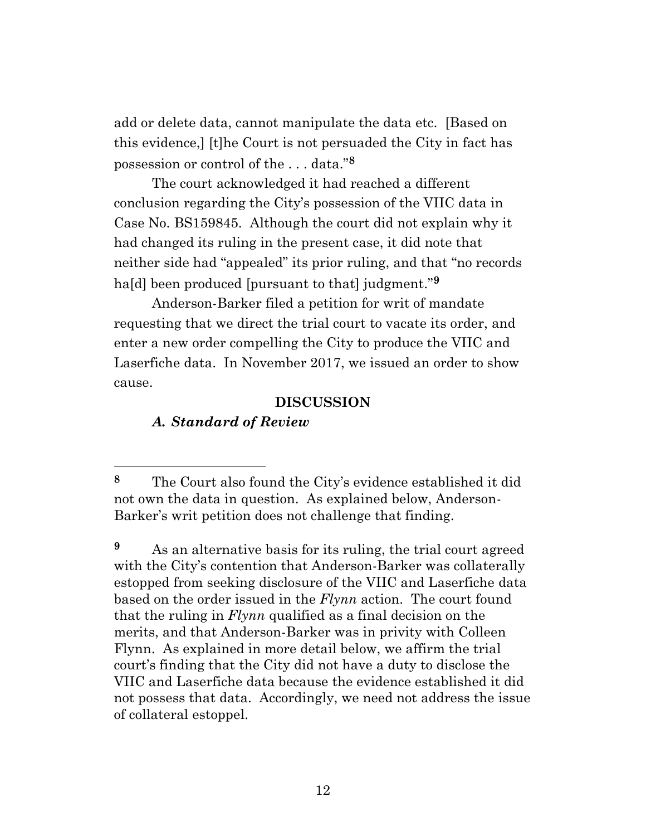add or delete data, cannot manipulate the data etc. [Based on this evidence,] [t]he Court is not persuaded the City in fact has possession or control of the . . . data."**<sup>8</sup>**

The court acknowledged it had reached a different conclusion regarding the City's possession of the VIIC data in Case No. BS159845. Although the court did not explain why it had changed its ruling in the present case, it did note that neither side had "appealed" its prior ruling, and that "no records ha[d] been produced [pursuant to that] judgment."**<sup>9</sup>**

Anderson-Barker filed a petition for writ of mandate requesting that we direct the trial court to vacate its order, and enter a new order compelling the City to produce the VIIC and Laserfiche data. In November 2017, we issued an order to show cause.

#### **DISCUSSION**

#### *A. Standard of Review*

**<sup>8</sup>** The Court also found the City's evidence established it did not own the data in question. As explained below, Anderson-Barker's writ petition does not challenge that finding.

**<sup>9</sup>** As an alternative basis for its ruling, the trial court agreed with the City's contention that Anderson-Barker was collaterally estopped from seeking disclosure of the VIIC and Laserfiche data based on the order issued in the *Flynn* action. The court found that the ruling in *Flynn* qualified as a final decision on the merits, and that Anderson-Barker was in privity with Colleen Flynn. As explained in more detail below, we affirm the trial court's finding that the City did not have a duty to disclose the VIIC and Laserfiche data because the evidence established it did not possess that data. Accordingly, we need not address the issue of collateral estoppel.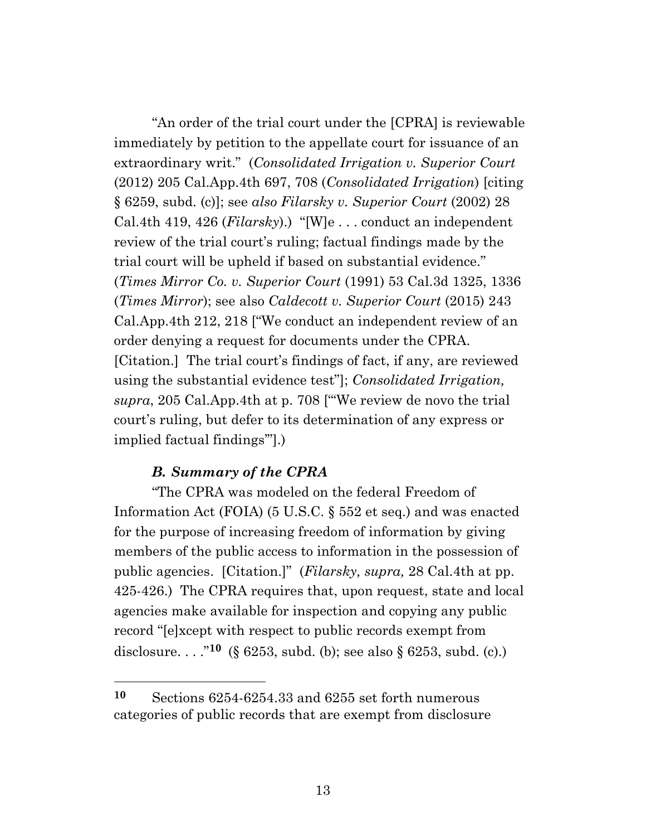"An order of the trial court under the [CPRA] is reviewable immediately by petition to the appellate court for issuance of an extraordinary writ." (*Consolidated Irrigation v. Superior Court*  (2012) 205 Cal.App.4th 697, 708 (*Consolidated Irrigation*) [citing § 6259, subd. (c)]; see *also Filarsky v. Superior Court* (2002) 28 Cal.4th 419, 426 (*Filarsky*).) "[W]e . . . conduct an independent review of the trial court's ruling; factual findings made by the trial court will be upheld if based on substantial evidence." (*Times Mirror Co. v. Superior Court* (1991) 53 Cal.3d 1325, 1336 (*Times Mirror*); see also *Caldecott v. Superior Court* (2015) 243 Cal.App.4th 212, 218 ["We conduct an independent review of an order denying a request for documents under the CPRA. [Citation.] The trial court's findings of fact, if any, are reviewed using the substantial evidence test"]; *Consolidated Irrigation, supra*, 205 Cal.App.4th at p. 708 ["'We review de novo the trial court's ruling, but defer to its determination of any express or implied factual findings'"].)

#### *B. Summary of the CPRA*

"The CPRA was modeled on the federal Freedom of Information Act (FOIA) (5 U.S.C. § 552 et seq.) and was enacted for the purpose of increasing freedom of information by giving members of the public access to information in the possession of public agencies. [Citation.]" (*Filarsky, supra,* 28 Cal.4th at pp. 425-426.) The CPRA requires that, upon request, state and local agencies make available for inspection and copying any public record "[e]xcept with respect to public records exempt from disclosure. . . ."**<sup>10</sup>** (§ 6253, subd. (b); see also § 6253, subd. (c).)

**<sup>10</sup>** Sections 6254-6254.33 and 6255 set forth numerous categories of public records that are exempt from disclosure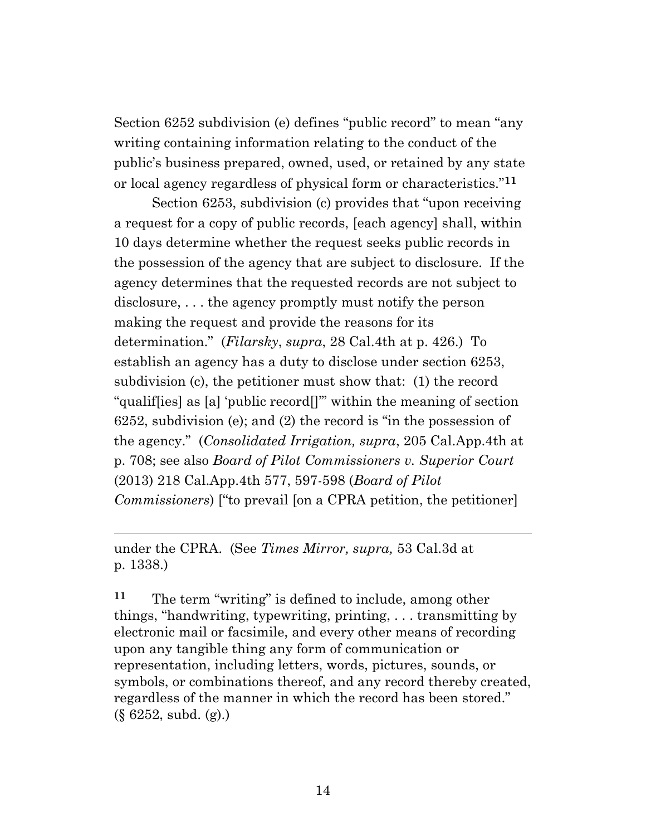Section 6252 subdivision (e) defines "public record" to mean "any writing containing information relating to the conduct of the public's business prepared, owned, used, or retained by any state or local agency regardless of physical form or characteristics."**<sup>11</sup>**

Section 6253, subdivision (c) provides that "upon receiving a request for a copy of public records, [each agency] shall, within 10 days determine whether the request seeks public records in the possession of the agency that are subject to disclosure. If the agency determines that the requested records are not subject to disclosure, . . . the agency promptly must notify the person making the request and provide the reasons for its determination." (*Filarsky*, *supra*, 28 Cal.4th at p. 426.) To establish an agency has a duty to disclose under section 6253, subdivision (c), the petitioner must show that: (1) the record "qualif[ies] as [a] 'public record[]'" within the meaning of section 6252, subdivision (e); and (2) the record is "in the possession of the agency." (*Consolidated Irrigation, supra*, 205 Cal.App.4th at p. 708; see also *Board of Pilot Commissioners v. Superior Court* (2013) 218 Cal.App.4th 577, 597-598 (*Board of Pilot Commissioners*) ["to prevail [on a CPRA petition, the petitioner]

under the CPRA. (See *Times Mirror, supra,* 53 Cal.3d at p. 1338.)

**<sup>11</sup>** The term "writing" is defined to include, among other things, "handwriting, typewriting, printing, . . . transmitting by electronic mail or facsimile, and every other means of recording upon any tangible thing any form of communication or representation, including letters, words, pictures, sounds, or symbols, or combinations thereof, and any record thereby created, regardless of the manner in which the record has been stored." (§ 6252, subd. (g).)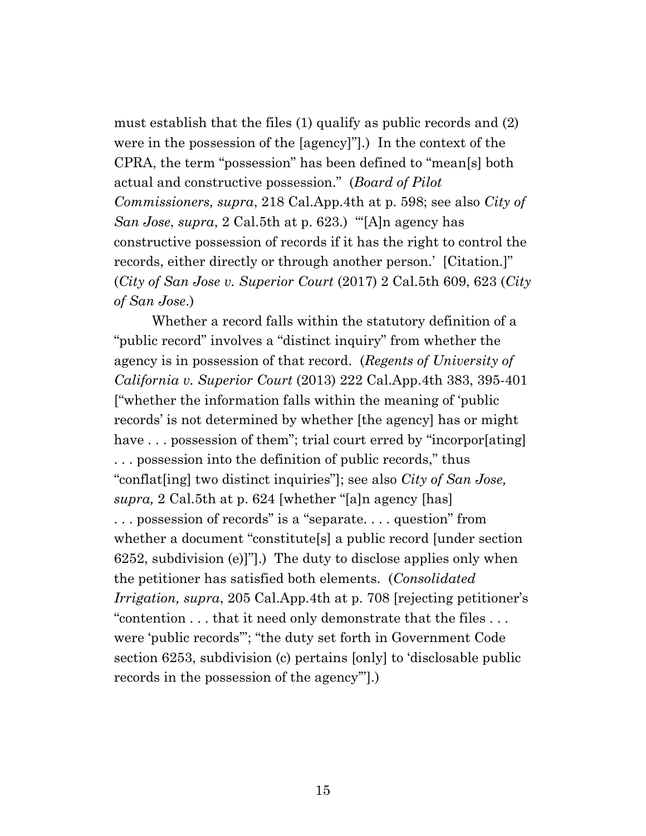must establish that the files (1) qualify as public records and (2) were in the possession of the [agency]"].) In the context of the CPRA, the term "possession" has been defined to "mean[s] both actual and constructive possession." (*Board of Pilot Commissioners, supra*, 218 Cal.App.4th at p. 598; see also *City of San Jose*, *supra*, 2 Cal.5th at p. 623.) "'[A]n agency has constructive possession of records if it has the right to control the records, either directly or through another person.' [Citation.]" (*City of San Jose v. Superior Court* (2017) 2 Cal.5th 609, 623 (*City of San Jose*.)

Whether a record falls within the statutory definition of a "public record" involves a "distinct inquiry" from whether the agency is in possession of that record. (*Regents of University of California v. Superior Court* (2013) 222 Cal.App.4th 383, 395-401 ["whether the information falls within the meaning of 'public records' is not determined by whether [the agency] has or might have ... possession of them"; trial court erred by "incorpor[ating] . . . possession into the definition of public records," thus "conflat[ing] two distinct inquiries"]; see also *City of San Jose, supra,* 2 Cal.5th at p. 624 [whether "[a]n agency [has] . . . possession of records" is a "separate. . . . question" from whether a document "constitute[s] a public record [under section 6252, subdivision (e)]"].) The duty to disclose applies only when the petitioner has satisfied both elements. (*Consolidated Irrigation, supra*, 205 Cal.App.4th at p. 708 [rejecting petitioner's "contention . . . that it need only demonstrate that the files . . . were 'public records'"; "the duty set forth in Government Code section 6253, subdivision (c) pertains [only] to 'disclosable public records in the possession of the agency'"].)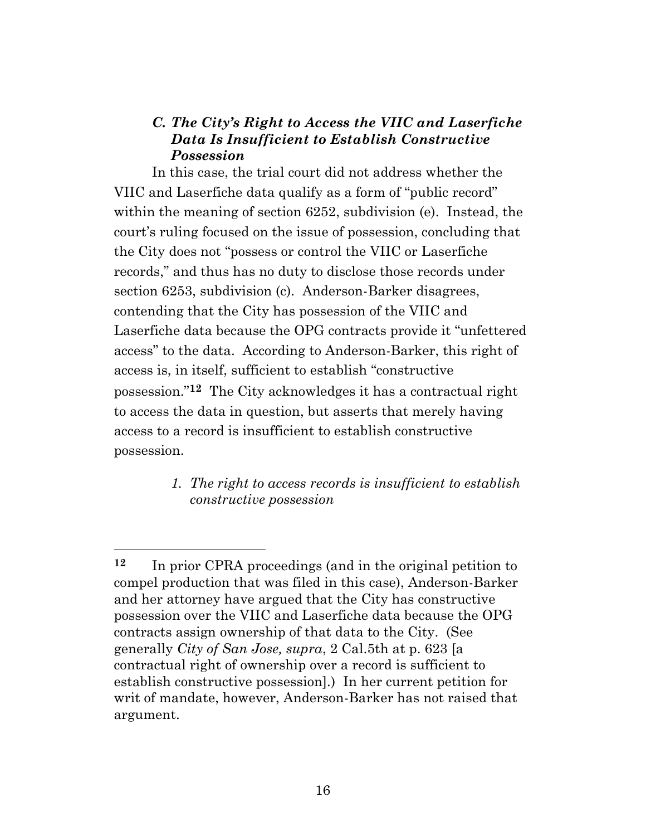## *C. The City's Right to Access the VIIC and Laserfiche Data Is Insufficient to Establish Constructive Possession*

In this case, the trial court did not address whether the VIIC and Laserfiche data qualify as a form of "public record" within the meaning of section 6252, subdivision (e). Instead, the court's ruling focused on the issue of possession, concluding that the City does not "possess or control the VIIC or Laserfiche records," and thus has no duty to disclose those records under section 6253, subdivision (c). Anderson-Barker disagrees, contending that the City has possession of the VIIC and Laserfiche data because the OPG contracts provide it "unfettered access" to the data. According to Anderson-Barker, this right of access is, in itself, sufficient to establish "constructive possession." **<sup>12</sup>** The City acknowledges it has a contractual right to access the data in question, but asserts that merely having access to a record is insufficient to establish constructive possession.

> *1. The right to access records is insufficient to establish constructive possession*

**<sup>12</sup>** In prior CPRA proceedings (and in the original petition to compel production that was filed in this case), Anderson-Barker and her attorney have argued that the City has constructive possession over the VIIC and Laserfiche data because the OPG contracts assign ownership of that data to the City. (See generally *City of San Jose, supra*, 2 Cal.5th at p. 623 [a contractual right of ownership over a record is sufficient to establish constructive possession].) In her current petition for writ of mandate, however, Anderson-Barker has not raised that argument.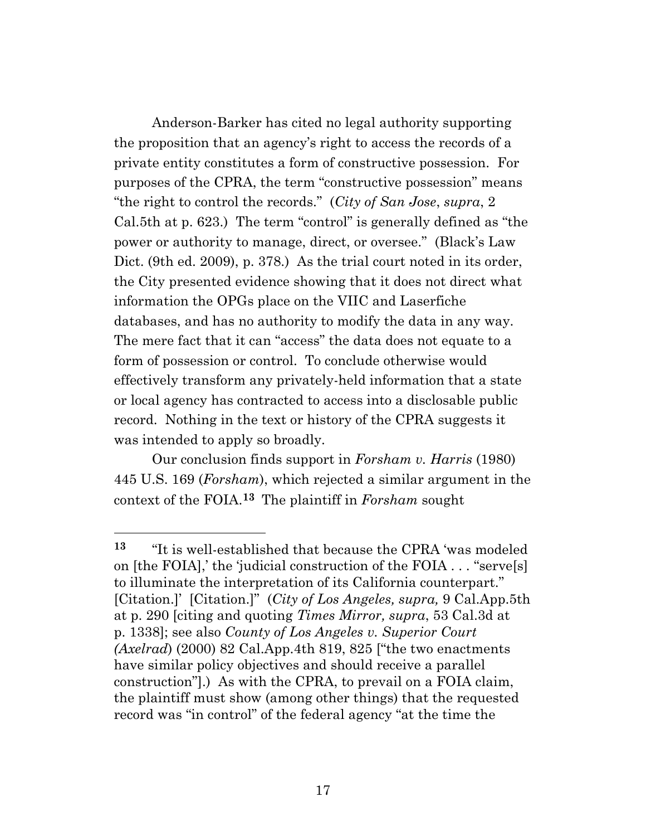Anderson-Barker has cited no legal authority supporting the proposition that an agency's right to access the records of a private entity constitutes a form of constructive possession. For purposes of the CPRA, the term "constructive possession" means "the right to control the records." (*City of San Jose*, *supra*, 2 Cal.5th at p. 623.) The term "control" is generally defined as "the power or authority to manage, direct, or oversee." (Black's Law Dict. (9th ed. 2009), p. 378.) As the trial court noted in its order, the City presented evidence showing that it does not direct what information the OPGs place on the VIIC and Laserfiche databases, and has no authority to modify the data in any way. The mere fact that it can "access" the data does not equate to a form of possession or control. To conclude otherwise would effectively transform any privately-held information that a state or local agency has contracted to access into a disclosable public record. Nothing in the text or history of the CPRA suggests it was intended to apply so broadly.

Our conclusion finds support in *Forsham v. Harris* (1980) 445 U.S. 169 (*Forsham*), which rejected a similar argument in the context of the FOIA.**<sup>13</sup>** The plaintiff in *Forsham* sought

**<sup>13</sup>** "It is well-established that because the CPRA 'was modeled on [the FOIA],' the 'judicial construction of the FOIA . . . "serve[s] to illuminate the interpretation of its California counterpart." [Citation.]' [Citation.]" (*City of Los Angeles, supra,* 9 Cal.App.5th at p. 290 [citing and quoting *Times Mirror, supra*, 53 Cal.3d at p. 1338]; see also *County of Los Angeles v. Superior Court (Axelrad*) (2000) 82 Cal.App.4th 819, 825 ["the two enactments have similar policy objectives and should receive a parallel construction"].) As with the CPRA, to prevail on a FOIA claim, the plaintiff must show (among other things) that the requested record was "in control" of the federal agency "at the time the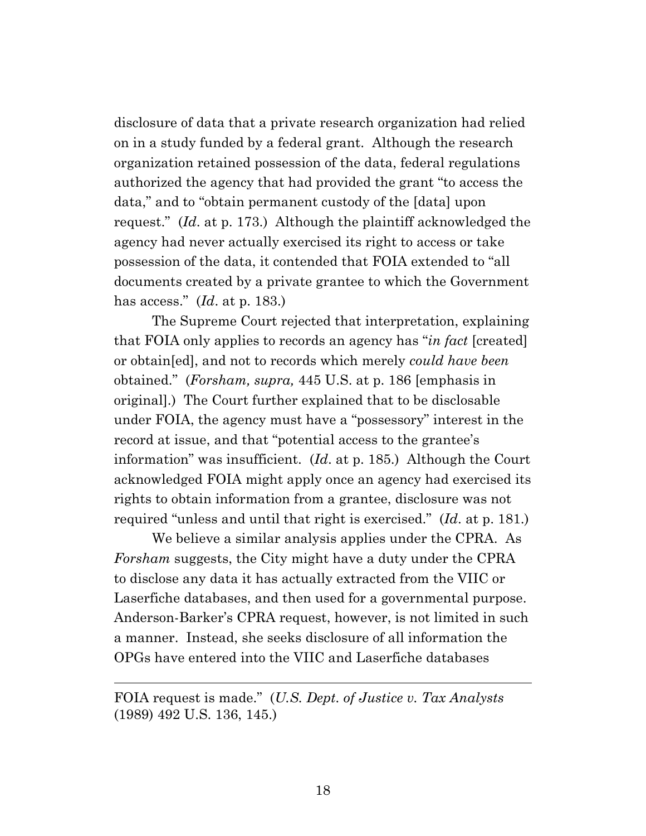disclosure of data that a private research organization had relied on in a study funded by a federal grant. Although the research organization retained possession of the data, federal regulations authorized the agency that had provided the grant "to access the data," and to "obtain permanent custody of the [data] upon request." (*Id*. at p. 173.) Although the plaintiff acknowledged the agency had never actually exercised its right to access or take possession of the data, it contended that FOIA extended to "all documents created by a private grantee to which the Government has access." (*Id*. at p. 183.)

The Supreme Court rejected that interpretation, explaining that FOIA only applies to records an agency has "*in fact* [created] or obtain[ed], and not to records which merely *could have been* obtained." (*Forsham, supra,* 445 U.S. at p. 186 [emphasis in original].) The Court further explained that to be disclosable under FOIA, the agency must have a "possessory" interest in the record at issue, and that "potential access to the grantee's information" was insufficient. (*Id*. at p. 185.) Although the Court acknowledged FOIA might apply once an agency had exercised its rights to obtain information from a grantee, disclosure was not required "unless and until that right is exercised." (*Id*. at p. 181.)

We believe a similar analysis applies under the CPRA. As *Forsham* suggests, the City might have a duty under the CPRA to disclose any data it has actually extracted from the VIIC or Laserfiche databases, and then used for a governmental purpose. Anderson-Barker's CPRA request, however, is not limited in such a manner. Instead, she seeks disclosure of all information the OPGs have entered into the VIIC and Laserfiche databases

FOIA request is made." (*U.S. Dept. of Justice v. Tax Analysts* (1989) 492 U.S. 136, 145.)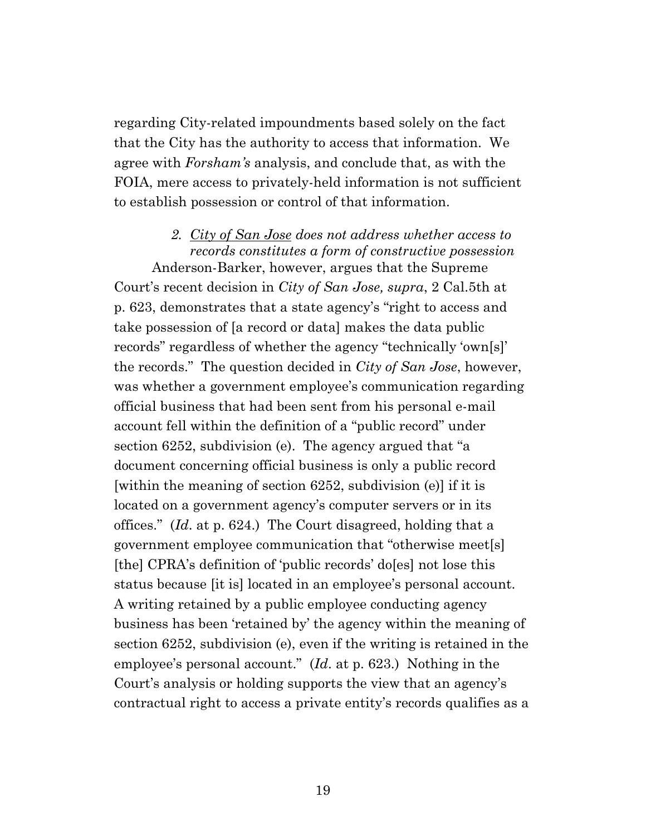regarding City-related impoundments based solely on the fact that the City has the authority to access that information. We agree with *Forsham's* analysis, and conclude that, as with the FOIA, mere access to privately-held information is not sufficient to establish possession or control of that information.

#### *2. City of San Jose does not address whether access to records constitutes a form of constructive possession*

Anderson-Barker, however, argues that the Supreme Court's recent decision in *City of San Jose, supra*, 2 Cal.5th at p. 623, demonstrates that a state agency's "right to access and take possession of [a record or data] makes the data public records" regardless of whether the agency "technically 'own[s]' the records." The question decided in *City of San Jose*, however, was whether a government employee's communication regarding official business that had been sent from his personal e-mail account fell within the definition of a "public record" under section 6252, subdivision (e). The agency argued that "a document concerning official business is only a public record [within the meaning of section 6252, subdivision (e)] if it is located on a government agency's computer servers or in its offices." (*Id*. at p. 624.) The Court disagreed, holding that a government employee communication that "otherwise meet[s] [the] CPRA's definition of 'public records' do[es] not lose this status because [it is] located in an employee's personal account. A writing retained by a public employee conducting agency business has been 'retained by' the agency within the meaning of section 6252, subdivision (e), even if the writing is retained in the employee's personal account." (*Id*. at p. 623.) Nothing in the Court's analysis or holding supports the view that an agency's contractual right to access a private entity's records qualifies as a